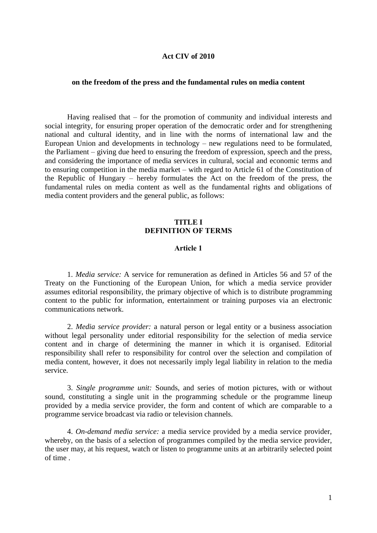### **Act CIV of 2010**

### **on the freedom of the press and the fundamental rules on media content**

Having realised that – for the promotion of community and individual interests and social integrity, for ensuring proper operation of the democratic order and for strengthening national and cultural identity, and in line with the norms of international law and the European Union and developments in technology – new regulations need to be formulated, the Parliament – giving due heed to ensuring the freedom of expression, speech and the press, and considering the importance of media services in cultural, social and economic terms and to ensuring competition in the media market – with regard to Article 61 of the Constitution of the Republic of Hungary – hereby formulates the Act on the freedom of the press, the fundamental rules on media content as well as the fundamental rights and obligations of media content providers and the general public, as follows:

# **TITLE I** DEFINITION OF TERMS

#### Article 1

1. *Media service:* A service for remuneration as defined in Articles 56 and 57 of the Treaty on the Functioning of the European Union, for which a media service provider assumes editorial responsibility, the primary objective of which is to distribute programming content to the public for information, entertainment or training purposes via an electronic communications network.

2. *Media service provider:* a natural person or legal entity or a business association without legal personality under editorial responsibility for the selection of media service content and in charge of determining the manner in which it is organised. Editorial responsibility shall refer to responsibility for control over the selection and compilation of media content, however, it does not necessarily imply legal liability in relation to the media service.

3. *Single programme unit:* Sounds, and series of motion pictures, with or without sound, constituting a single unit in the programming schedule or the programme lineup provided by a media service provider, the form and content of which are comparable to a programme service broadcast via radio or television channels.

4. *On-demand media service:* a media service provided by a media service provider, whereby, on the basis of a selection of programmes compiled by the media service provider, the user may, at his request, watch or listen to programme units at an arbitrarily selected point of time .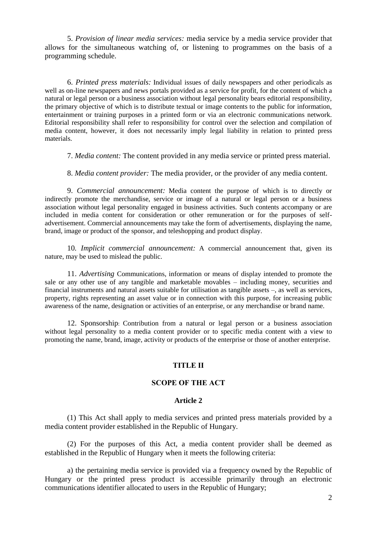5. *Provision of linear media services:* media service by a media service provider that allows for the simultaneous watching of, or listening to programmes on the basis of a programming schedule.

6. *Printed press materials:* Individual issues of daily newspapers and other periodicals as well as on-line newspapers and news portals provided as a service for profit, for the content of which a natural or legal person or a business association without legal personality bears editorial responsibility, the primary objective of which is to distribute textual or image contents to the public for information, entertainment or training purposes in a printed form or via an electronic communications network. Editorial responsibility shall refer to responsibility for control over the selection and compilation of media content, however, it does not necessarily imply legal liability in relation to printed press materials.

7. *Media content:* The content provided in any media service or printed press material.

8. *Media content provider:* The media provider, or the provider of any media content.

9. *Commercial announcement:* Media content the purpose of which is to directly or indirectly promote the merchandise, service or image of a natural or legal person or a business association without legal personality engaged in business activities. Such contents accompany or are included in media content for consideration or other remuneration or for the purposes of selfadvertisement. Commercial announcements may take the form of advertisements, displaying the name, brand, image or product of the sponsor, and teleshopping and product display.

10*. Implicit commercial announcement:* A commercial announcement that, given its nature, may be used to mislead the public.

11. *Advertising* Communications, information or means of display intended to promote the sale or any other use of any tangible and marketable movables – including money, securities and financial instruments and natural assets suitable for utilisation as tangible assets –, as well as services, property, rights representing an asset value or in connection with this purpose, for increasing public awareness of the name, designation or activities of an enterprise, or any merchandise or brand name.

12. Sponsorship: Contribution from a natural or legal person or a business association without legal personality to a media content provider or to specific media content with a view to promoting the name, brand, image, activity or products of the enterprise or those of another enterprise.

### TITLE II

#### SCOPE OF THE ACT

# **Article 2**

(1) This Act shall apply to media services and printed press materials provided by a media content provider established in the Republic of Hungary.

(2) For the purposes of this Act, a media content provider shall be deemed as established in the Republic of Hungary when it meets the following criteria:

a) the pertaining media service is provided via a frequency owned by the Republic of Hungary or the printed press product is accessible primarily through an electronic communications identifier allocated to users in the Republic of Hungary;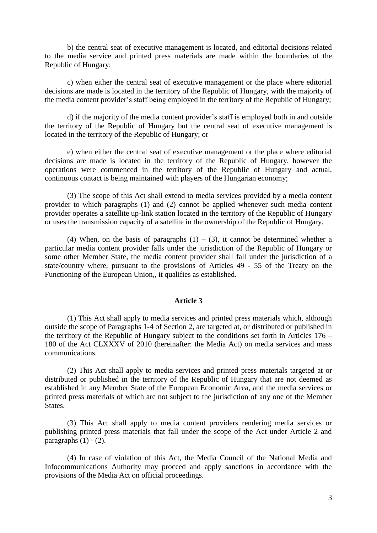b) the central seat of executive management is located, and editorial decisions related to the media service and printed press materials are made within the boundaries of the Republic of Hungary;

c) when either the central seat of executive management or the place where editorial decisions are made is located in the territory of the Republic of Hungary, with the majority of the media content provider"s staff being employed in the territory of the Republic of Hungary;

d) if the majority of the media content provider"s staff is employed both in and outside the territory of the Republic of Hungary but the central seat of executive management is located in the territory of the Republic of Hungary; or

e) when either the central seat of executive management or the place where editorial decisions are made is located in the territory of the Republic of Hungary, however the operations were commenced in the territory of the Republic of Hungary and actual, continuous contact is being maintained with players of the Hungarian economy;

(3) The scope of this Act shall extend to media services provided by a media content provider to which paragraphs (1) and (2) cannot be applied whenever such media content provider operates a satellite up-link station located in the territory of the Republic of Hungary or uses the transmission capacity of a satellite in the ownership of the Republic of Hungary.

(4) When, on the basis of paragraphs  $(1) - (3)$ , it cannot be determined whether a particular media content provider falls under the jurisdiction of the Republic of Hungary or some other Member State, the media content provider shall fall under the jurisdiction of a state/country where, pursuant to the provisions of Articles 49 - 55 of the Treaty on the Functioning of the European Union,, it qualifies as established.

#### **Article 3**

(1) This Act shall apply to media services and printed press materials which, although outside the scope of Paragraphs 1-4 of Section 2, are targeted at, or distributed or published in the territory of the Republic of Hungary subject to the conditions set forth in Articles 176 – 180 of the Act CLXXXV of 2010 (hereinafter: the Media Act) on media services and mass communications.

(2) This Act shall apply to media services and printed press materials targeted at or distributed or published in the territory of the Republic of Hungary that are not deemed as established in any Member State of the European Economic Area, and the media services or printed press materials of which are not subject to the jurisdiction of any one of the Member States.

(3) This Act shall apply to media content providers rendering media services or publishing printed press materials that fall under the scope of the Act under Article 2 and paragraphs  $(1) - (2)$ .

(4) In case of violation of this Act, the Media Council of the National Media and Infocommunications Authority may proceed and apply sanctions in accordance with the provisions of the Media Act on official proceedings.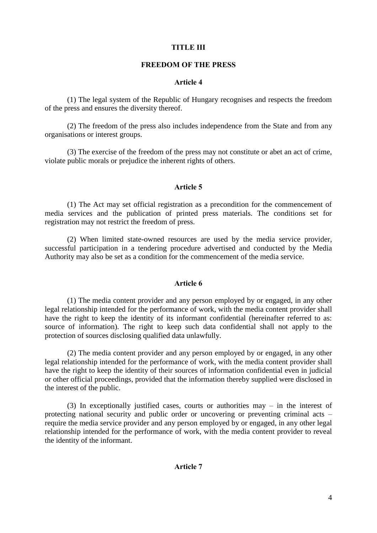# TITLE III

## FREEDOM OF THE PRESS

## Article 4

(1) The legal system of the Republic of Hungary recognises and respects the freedom of the press and ensures the diversity thereof.

(2) The freedom of the press also includes independence from the State and from any organisations or interest groups.

(3) The exercise of the freedom of the press may not constitute or abet an act of crime, violate public morals or prejudice the inherent rights of others.

## Article 5

(1) The Act may set official registration as a precondition for the commencement of media services and the publication of printed press materials. The conditions set for registration may not restrict the freedom of press.

(2) When limited state-owned resources are used by the media service provider, successful participation in a tendering procedure advertised and conducted by the Media Authority may also be set as a condition for the commencement of the media service.

# Article 6

(1) The media content provider and any person employed by or engaged, in any other legal relationship intended for the performance of work, with the media content provider shall have the right to keep the identity of its informant confidential (hereinafter referred to as: source of information). The right to keep such data confidential shall not apply to the protection of sources disclosing qualified data unlawfully.

(2) The media content provider and any person employed by or engaged, in any other legal relationship intended for the performance of work, with the media content provider shall have the right to keep the identity of their sources of information confidential even in judicial or other official proceedings, provided that the information thereby supplied were disclosed in the interest of the public.

(3) In exceptionally justified cases, courts or authorities may – in the interest of protecting national security and public order or uncovering or preventing criminal acts – require the media service provider and any person employed by or engaged, in any other legal relationship intended for the performance of work, with the media content provider to reveal the identity of the informant.

### Article 7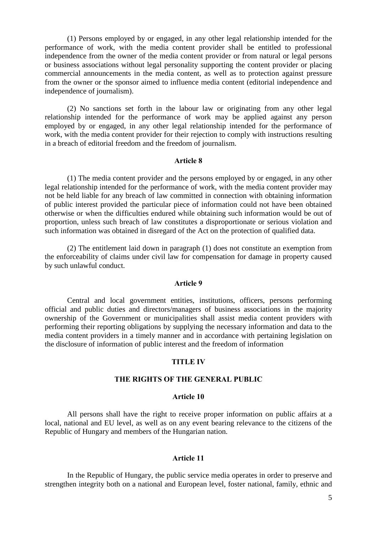(1) Persons employed by or engaged, in any other legal relationship intended for the performance of work, with the media content provider shall be entitled to professional independence from the owner of the media content provider or from natural or legal persons or business associations without legal personality supporting the content provider or placing commercial announcements in the media content, as well as to protection against pressure from the owner or the sponsor aimed to influence media content (editorial independence and independence of journalism).

(2) No sanctions set forth in the labour law or originating from any other legal relationship intended for the performance of work may be applied against any person employed by or engaged, in any other legal relationship intended for the performance of work, with the media content provider for their rejection to comply with instructions resulting in a breach of editorial freedom and the freedom of journalism.

#### Article 8

(1) The media content provider and the persons employed by or engaged, in any other legal relationship intended for the performance of work, with the media content provider may not be held liable for any breach of law committed in connection with obtaining information of public interest provided the particular piece of information could not have been obtained otherwise or when the difficulties endured while obtaining such information would be out of proportion, unless such breach of law constitutes a disproportionate or serious violation and such information was obtained in disregard of the Act on the protection of qualified data.

(2) The entitlement laid down in paragraph (1) does not constitute an exemption from the enforceability of claims under civil law for compensation for damage in property caused by such unlawful conduct.

## Article 9

Central and local government entities, institutions, officers, persons performing official and public duties and directors/managers of business associations in the majority ownership of the Government or municipalities shall assist media content providers with performing their reporting obligations by supplying the necessary information and data to the media content providers in a timely manner and in accordance with pertaining legislation on the disclosure of information of public interest and the freedom of information

#### TITLE IV

## THE RIGHTS OF THE GENERAL PUBLIC

#### Article 10

All persons shall have the right to receive proper information on public affairs at a local, national and EU level, as well as on any event bearing relevance to the citizens of the Republic of Hungary and members of the Hungarian nation.

#### Article 11

In the Republic of Hungary, the public service media operates in order to preserve and strengthen integrity both on a national and European level, foster national, family, ethnic and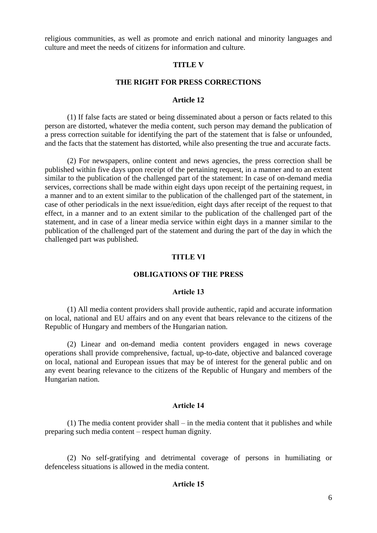religious communities, as well as promote and enrich national and minority languages and culture and meet the needs of citizens for information and culture.

#### **TITLE V**

## **THE RIGHT FOR PRESS CORRECTIONS**

## **Article 12**

(1) If false facts are stated or being disseminated about a person or facts related to this person are distorted, whatever the media content, such person may demand the publication of a press correction suitable for identifying the part of the statement that is false or unfounded, and the facts that the statement has distorted, while also presenting the true and accurate facts.

(2) For newspapers, online content and news agencies, the press correction shall be published within five days upon receipt of the pertaining request, in a manner and to an extent similar to the publication of the challenged part of the statement: In case of on-demand media services, corrections shall be made within eight days upon receipt of the pertaining request, in a manner and to an extent similar to the publication of the challenged part of the statement, in case of other periodicals in the next issue/edition, eight days after receipt of the request to that effect, in a manner and to an extent similar to the publication of the challenged part of the statement, and in case of a linear media service within eight days in a manner similar to the publication of the challenged part of the statement and during the part of the day in which the challenged part was published.

# TITLE VI

# OBLIGATIONS OF THE PRESS

#### Article 13

(1) All media content providers shall provide authentic, rapid and accurate information on local, national and EU affairs and on any event that bears relevance to the citizens of the Republic of Hungary and members of the Hungarian nation.

(2) Linear and on-demand media content providers engaged in news coverage operations shall provide comprehensive, factual, up-to-date, objective and balanced coverage on local, national and European issues that may be of interest for the general public and on any event bearing relevance to the citizens of the Republic of Hungary and members of the Hungarian nation.

## Article 14

(1) The media content provider shall – in the media content that it publishes and while preparing such media content – respect human dignity.

(2) No self-gratifying and detrimental coverage of persons in humiliating or defenceless situations is allowed in the media content.

# Article 15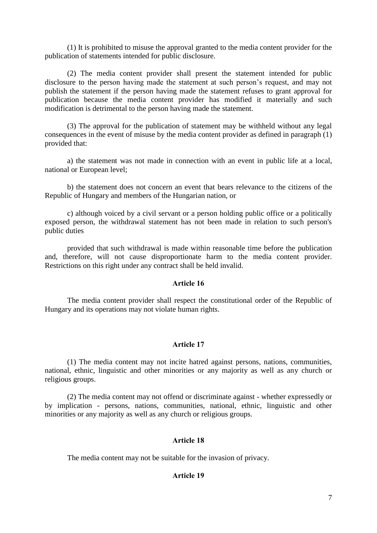(1) It is prohibited to misuse the approval granted to the media content provider for the publication of statements intended for public disclosure.

(2) The media content provider shall present the statement intended for public disclosure to the person having made the statement at such person's request, and may not publish the statement if the person having made the statement refuses to grant approval for publication because the media content provider has modified it materially and such modification is detrimental to the person having made the statement.

(3) The approval for the publication of statement may be withheld without any legal consequences in the event of misuse by the media content provider as defined in paragraph (1) provided that:

a) the statement was not made in connection with an event in public life at a local, national or European level;

b) the statement does not concern an event that bears relevance to the citizens of the Republic of Hungary and members of the Hungarian nation, or

c) although voiced by a civil servant or a person holding public office or a politically exposed person, the withdrawal statement has not been made in relation to such person's public duties

provided that such withdrawal is made within reasonable time before the publication and, therefore, will not cause disproportionate harm to the media content provider. Restrictions on this right under any contract shall be held invalid.

# Article 16

The media content provider shall respect the constitutional order of the Republic of Hungary and its operations may not violate human rights.

# Article 17

(1) The media content may not incite hatred against persons, nations, communities, national, ethnic, linguistic and other minorities or any majority as well as any church or religious groups.

(2) The media content may not offend or discriminate against - whether expressedly or by implication - persons, nations, communities, national, ethnic, linguistic and other minorities or any majority as well as any church or religious groups.

# Article 18

The media content may not be suitable for the invasion of privacy.

# Article 19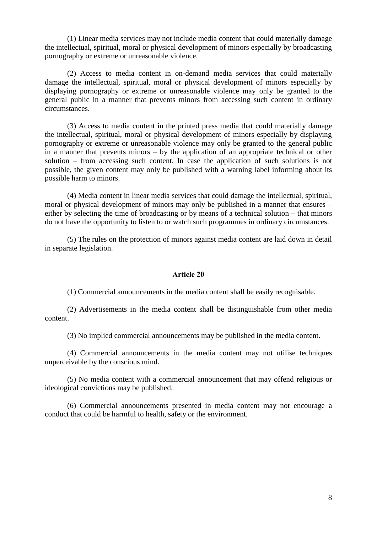(1) Linear media services may not include media content that could materially damage the intellectual, spiritual, moral or physical development of minors especially by broadcasting pornography or extreme or unreasonable violence.

(2) Access to media content in on-demand media services that could materially damage the intellectual, spiritual, moral or physical development of minors especially by displaying pornography or extreme or unreasonable violence may only be granted to the general public in a manner that prevents minors from accessing such content in ordinary circumstances.

(3) Access to media content in the printed press media that could materially damage the intellectual, spiritual, moral or physical development of minors especially by displaying pornography or extreme or unreasonable violence may only be granted to the general public in a manner that prevents minors – by the application of an appropriate technical or other solution – from accessing such content. In case the application of such solutions is not possible, the given content may only be published with a warning label informing about its possible harm to minors.

(4) Media content in linear media services that could damage the intellectual, spiritual, moral or physical development of minors may only be published in a manner that ensures – either by selecting the time of broadcasting or by means of a technical solution – that minors do not have the opportunity to listen to or watch such programmes in ordinary circumstances.

(5) The rules on the protection of minors against media content are laid down in detail in separate legislation.

## Article 20

(1) Commercial announcements in the media content shall be easily recognisable.

(2) Advertisements in the media content shall be distinguishable from other media content.

(3) No implied commercial announcements may be published in the media content.

(4) Commercial announcements in the media content may not utilise techniques unperceivable by the conscious mind.

(5) No media content with a commercial announcement that may offend religious or ideological convictions may be published.

(6) Commercial announcements presented in media content may not encourage a conduct that could be harmful to health, safety or the environment.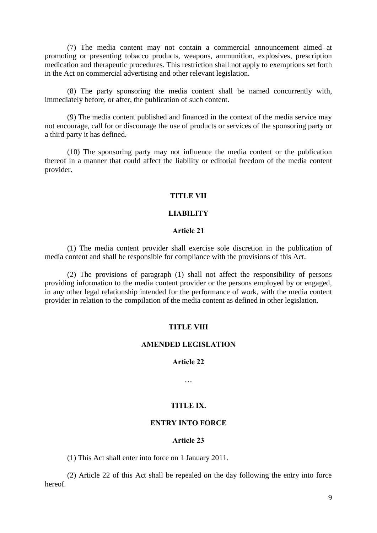(7) The media content may not contain a commercial announcement aimed at promoting or presenting tobacco products, weapons, ammunition, explosives, prescription medication and therapeutic procedures. This restriction shall not apply to exemptions set forth in the Act on commercial advertising and other relevant legislation.

(8) The party sponsoring the media content shall be named concurrently with, immediately before, or after, the publication of such content.

(9) The media content published and financed in the context of the media service may not encourage, call for or discourage the use of products or services of the sponsoring party or a third party it has defined.

(10) The sponsoring party may not influence the media content or the publication thereof in a manner that could affect the liability or editorial freedom of the media content provider.

## TITLE VII

# LIABILITY

## Article 21

(1) The media content provider shall exercise sole discretion in the publication of media content and shall be responsible for compliance with the provisions of this Act.

(2) The provisions of paragraph (1) shall not affect the responsibility of persons providing information to the media content provider or the persons employed by or engaged, in any other legal relationship intended for the performance of work, with the media content provider in relation to the compilation of the media content as defined in other legislation.

### TITLE VIII

## AMENDED LEGISLATION

#### Article 22

…

# TITLE IX.

# ENTRY INTO FORCE

#### Article 23

(1) This Act shall enter into force on 1 January 2011.

(2) Article 22 of this Act shall be repealed on the day following the entry into force hereof.